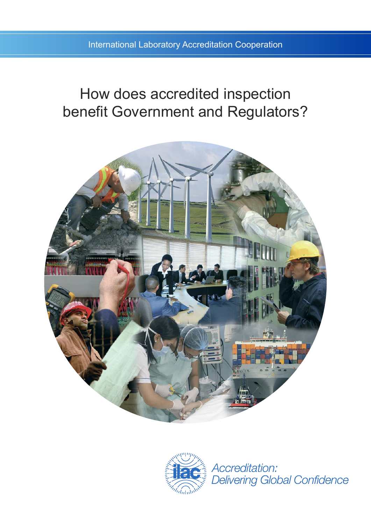# How does accredited inspection benefit Government and Regulators?





Accreditation: **Delivering Global Confidence**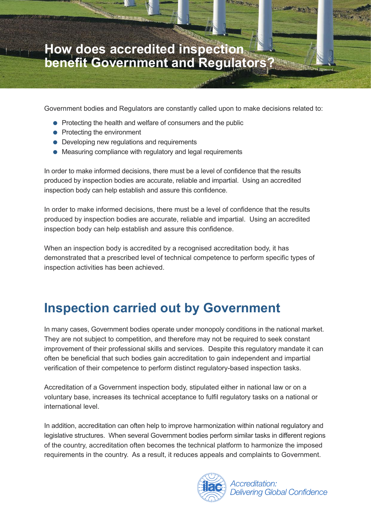### **How does accredited inspection benefit Government and Regulators?**

Government bodies and Regulators are constantly called upon to make decisions related to:

- Protecting the health and welfare of consumers and the public
- Protecting the environment

RANGER IN 1979.

- Developing new regulations and requirements
- Measuring compliance with regulatory and legal requirements

In order to make informed decisions, there must be a level of confidence that the results produced by inspection bodies are accurate, reliable and impartial. Using an accredited inspection body can help establish and assure this confidence.

In order to make informed decisions, there must be a level of confidence that the results produced by inspection bodies are accurate, reliable and impartial. Using an accredited inspection body can help establish and assure this confidence.

When an inspection body is accredited by a recognised accreditation body, it has demonstrated that a prescribed level of technical competence to perform specific types of inspection activities has been achieved.

## **Inspection carried out by Government**

In many cases, Government bodies operate under monopoly conditions in the national market. They are not subject to competition, and therefore may not be required to seek constant improvement of their professional skills and services. Despite this regulatory mandate it can often be beneficial that such bodies gain accreditation to gain independent and impartial verification of their competence to perform distinct regulatory-based inspection tasks.

Accreditation of a Government inspection body, stipulated either in national law or on a voluntary base, increases its technical acceptance to fulfil regulatory tasks on a national or international level.

In addition, accreditation can often help to improve harmonization within national regulatory and legislative structures. When several Government bodies perform similar tasks in different regions of the country, accreditation often becomes the technical platform to harmonize the imposed requirements in the country. As a result, it reduces appeals and complaints to Government.

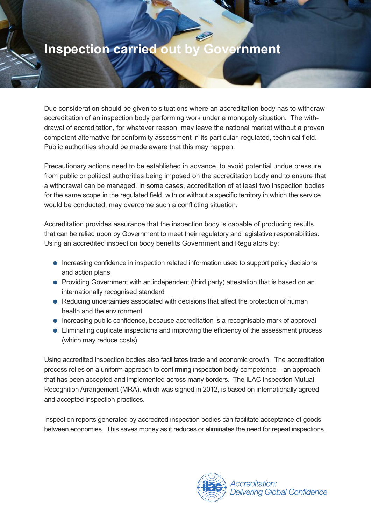#### **Inspection carried out by Government**

Due consideration should be given to situations where an accreditation body has to withdraw accreditation of an inspection body performing work under a monopoly situation. The withdrawal of accreditation, for whatever reason, may leave the national market without a proven competent alternative for conformity assessment in its particular, regulated, technical field. Public authorities should be made aware that this may happen.

Precautionary actions need to be established in advance, to avoid potential undue pressure from public or political authorities being imposed on the accreditation body and to ensure that a withdrawal can be managed. In some cases, accreditation of at least two inspection bodies for the same scope in the regulated field, with or without a specific territory in which the service would be conducted, may overcome such a conflicting situation.

Accreditation provides assurance that the inspection body is capable of producing results that can be relied upon by Government to meet their regulatory and legislative responsibilities. Using an accredited inspection body benefits Government and Regulators by:

- Increasing confidence in inspection related information used to support policy decisions and action plans
- Providing Government with an independent (third party) attestation that is based on an internationally recognised standard
- Reducing uncertainties associated with decisions that affect the protection of human health and the environment
- Increasing public confidence, because accreditation is a recognisable mark of approval
- Eliminating duplicate inspections and improving the efficiency of the assessment process (which may reduce costs)

Using accredited inspection bodies also facilitates trade and economic growth. The accreditation process relies on a uniform approach to confirming inspection body competence – an approach that has been accepted and implemented across many borders. The ILAC Inspection Mutual Recognition Arrangement (MRA), which was signed in 2012, is based on internationally agreed and accepted inspection practices.

Inspection reports generated by accredited inspection bodies can facilitate acceptance of goods between economies. This saves money as it reduces or eliminates the need for repeat inspections.

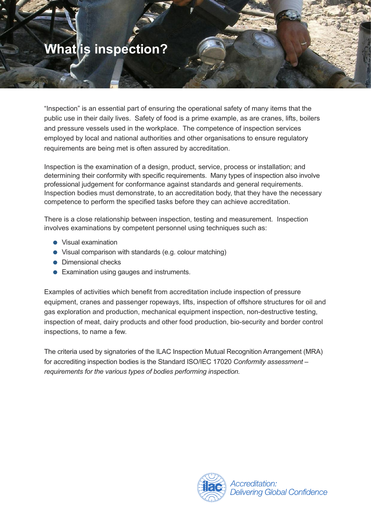## **What is inspection?**

"Inspection" is an essential part of ensuring the operational safety of many items that the public use in their daily lives. Safety of food is a prime example, as are cranes, lifts, boilers and pressure vessels used in the workplace. The competence of inspection services employed by local and national authorities and other organisations to ensure regulatory requirements are being met is often assured by accreditation.

Inspection is the examination of a design, product, service, process or installation; and determining their conformity with specific requirements. Many types of inspection also involve professional judgement for conformance against standards and general requirements. Inspection bodies must demonstrate, to an accreditation body, that they have the necessary competence to perform the specified tasks before they can achieve accreditation.

There is a close relationship between inspection, testing and measurement. Inspection involves examinations by competent personnel using techniques such as:

- Visual examination
- Visual comparison with standards (e.g. colour matching)
- Dimensional checks
- Examination using gauges and instruments.

Examples of activities which benefit from accreditation include inspection of pressure equipment, cranes and passenger ropeways, lifts, inspection of offshore structures for oil and gas exploration and production, mechanical equipment inspection, non-destructive testing, inspection of meat, dairy products and other food production, bio-security and border control inspections, to name a few.

The criteria used by signatories of the ILAC Inspection Mutual Recognition Arrangement (MRA) for accrediting inspection bodies is the Standard ISO/IEC 17020 *Conformity assessment – requirements for the various types of bodies performing inspection.*

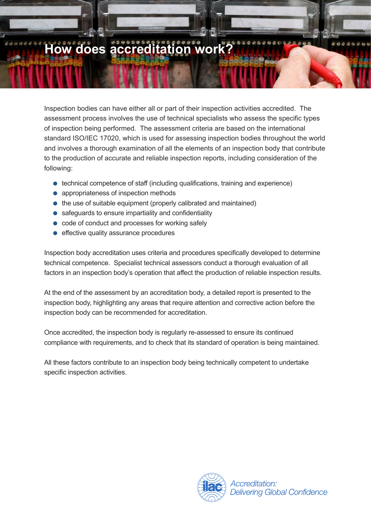# **How does accreditation work?**

Inspection bodies can have either all or part of their inspection activities accredited. The assessment process involves the use of technical specialists who assess the specific types of inspection being performed. The assessment criteria are based on the international standard ISO/IEC 17020, which is used for assessing inspection bodies throughout the world and involves a thorough examination of all the elements of an inspection body that contribute to the production of accurate and reliable inspection reports, including consideration of the following:

- technical competence of staff (including qualifications, training and experience)
- appropriateness of inspection methods
- the use of suitable equipment (properly calibrated and maintained)
- safeguards to ensure impartiality and confidentiality
- code of conduct and processes for working safely
- effective quality assurance procedures

Inspection body accreditation uses criteria and procedures specifically developed to determine technical competence. Specialist technical assessors conduct a thorough evaluation of all factors in an inspection body's operation that affect the production of reliable inspection results.

At the end of the assessment by an accreditation body, a detailed report is presented to the inspection body, highlighting any areas that require attention and corrective action before the inspection body can be recommended for accreditation.

Once accredited, the inspection body is regularly re-assessed to ensure its continued compliance with requirements, and to check that its standard of operation is being maintained.

All these factors contribute to an inspection body being technically competent to undertake specific inspection activities.

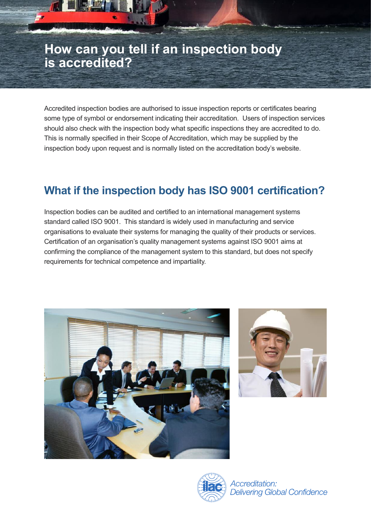#### **How can you tell if an inspection body is accredited?**

Accredited inspection bodies are authorised to issue inspection reports or certificates bearing some type of symbol or endorsement indicating their accreditation. Users of inspection services should also check with the inspection body what specific inspections they are accredited to do. This is normally specified in their Scope of Accreditation, which may be supplied by the inspection body upon request and is normally listed on the accreditation body's website.

#### **What if the inspection body has ISO 9001 certification?**

Inspection bodies can be audited and certified to an international management systems standard called ISO 9001. This standard is widely used in manufacturing and service organisations to evaluate their systems for managing the quality of their products or services. Certification of an organisation's quality management systems against ISO 9001 aims at confirming the compliance of the management system to this standard, but does not specify requirements for technical competence and impartiality.







Accreditation: **Delivering Global Confidence**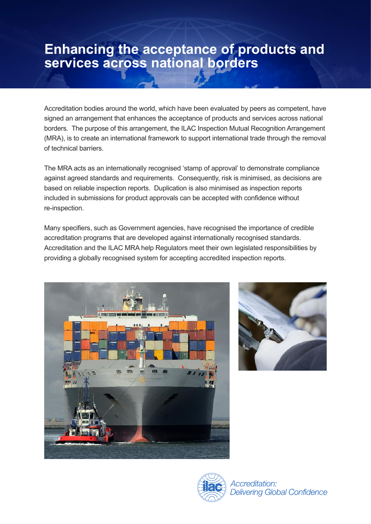#### **Enhancing the acceptance of products and services across national borders**

Accreditation bodies around the world, which have been evaluated by peers as competent, have signed an arrangement that enhances the acceptance of products and services across national borders. The purpose of this arrangement, the ILAC Inspection Mutual Recognition Arrangement (MRA), is to create an international framework to support international trade through the removal of technical barriers.

The MRA acts as an internationally recognised 'stamp of approval' to demonstrate compliance against agreed standards and requirements. Consequently, risk is minimised, as decisions are based on reliable inspection reports. Duplication is also minimised as inspection reports included in submissions for product approvals can be accepted with confidence without re-inspection.

Many specifiers, such as Government agencies, have recognised the importance of credible accreditation programs that are developed against internationally recognised standards. Accreditation and the ILAC MRA help Regulators meet their own legislated responsibilities by providing a globally recognised system for accepting accredited inspection reports.







Accreditation: **Delivering Global Confidence**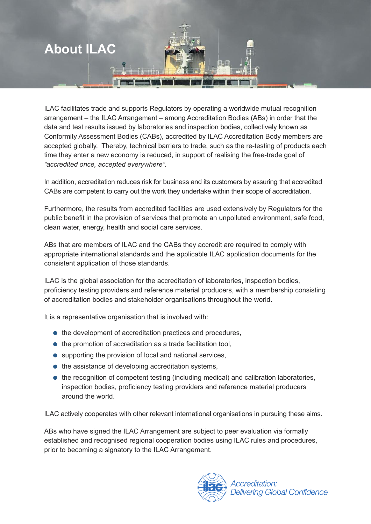

ILAC facilitates trade and supports Regulators by operating a worldwide mutual recognition arrangement – the ILAC Arrangement – among Accreditation Bodies (ABs) in order that the data and test results issued by laboratories and inspection bodies, collectively known as Conformity Assessment Bodies (CABs), accredited by ILAC Accreditation Body members are accepted globally. Thereby, technical barriers to trade, such as the re-testing of products each time they enter a new economy is reduced, in support of realising the free-trade goal of *"accredited once, accepted everywhere".* 

In addition, accreditation reduces risk for business and its customers by assuring that accredited CABs are competent to carry out the work they undertake within their scope of accreditation.

Furthermore, the results from accredited facilities are used extensively by Regulators for the public benefit in the provision of services that promote an unpolluted environment, safe food, clean water, energy, health and social care services.

ABs that are members of ILAC and the CABs they accredit are required to comply with appropriate international standards and the applicable ILAC application documents for the consistent application of those standards.

ILAC is the global association for the accreditation of laboratories, inspection bodies, proficiency testing providers and reference material producers, with a membership consisting of accreditation bodies and stakeholder organisations throughout the world.

It is a representative organisation that is involved with:

- the development of accreditation practices and procedures,
- the promotion of accreditation as a trade facilitation tool,
- supporting the provision of local and national services,
- the assistance of developing accreditation systems,
- the recognition of competent testing (including medical) and calibration laboratories, inspection bodies, proficiency testing providers and reference material producers around the world.

ILAC actively cooperates with other relevant international organisations in pursuing these aims.

ABs who have signed the ILAC Arrangement are subject to peer evaluation via formally established and recognised regional cooperation bodies using ILAC rules and procedures, prior to becoming a signatory to the ILAC Arrangement.